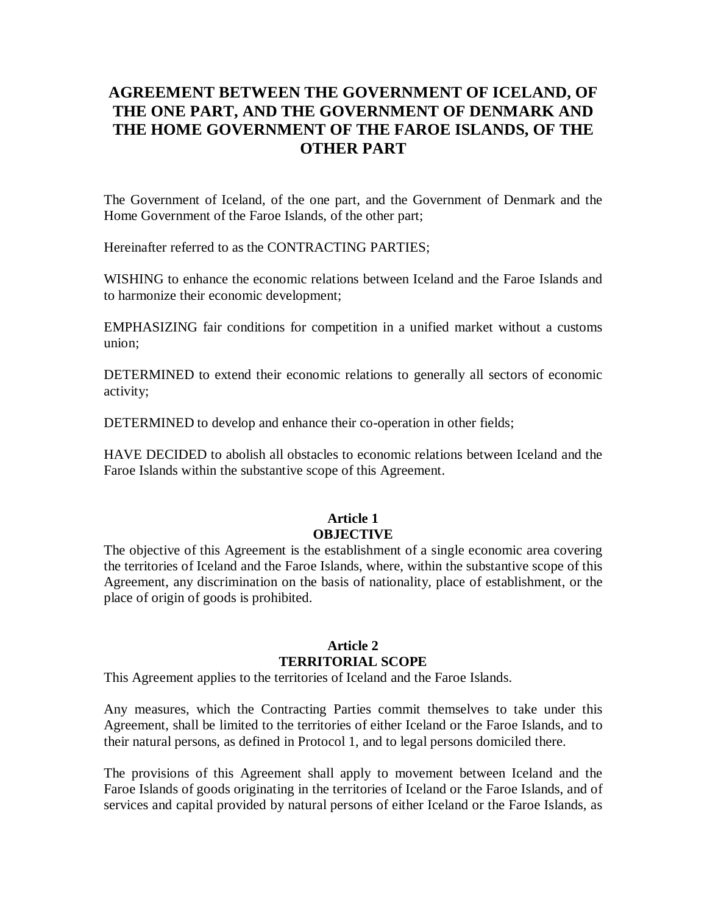## **AGREEMENT BETWEEN THE GOVERNMENT OF ICELAND, OF THE ONE PART, AND THE GOVERNMENT OF DENMARK AND THE HOME GOVERNMENT OF THE FAROE ISLANDS, OF THE OTHER PART**

The Government of Iceland, of the one part, and the Government of Denmark and the Home Government of the Faroe Islands, of the other part;

Hereinafter referred to as the CONTRACTING PARTIES;

WISHING to enhance the economic relations between Iceland and the Faroe Islands and to harmonize their economic development;

EMPHASIZING fair conditions for competition in a unified market without a customs union;

DETERMINED to extend their economic relations to generally all sectors of economic activity;

DETERMINED to develop and enhance their co-operation in other fields;

HAVE DECIDED to abolish all obstacles to economic relations between Iceland and the Faroe Islands within the substantive scope of this Agreement.

## **Article 1 OBJECTIVE**

The objective of this Agreement is the establishment of a single economic area covering the territories of Iceland and the Faroe Islands, where, within the substantive scope of this Agreement, any discrimination on the basis of nationality, place of establishment, or the place of origin of goods is prohibited.

#### **Article 2 TERRITORIAL SCOPE**

This Agreement applies to the territories of Iceland and the Faroe Islands.

Any measures, which the Contracting Parties commit themselves to take under this Agreement, shall be limited to the territories of either Iceland or the Faroe Islands, and to their natural persons, as defined in Protocol 1, and to legal persons domiciled there.

The provisions of this Agreement shall apply to movement between Iceland and the Faroe Islands of goods originating in the territories of Iceland or the Faroe Islands, and of services and capital provided by natural persons of either Iceland or the Faroe Islands, as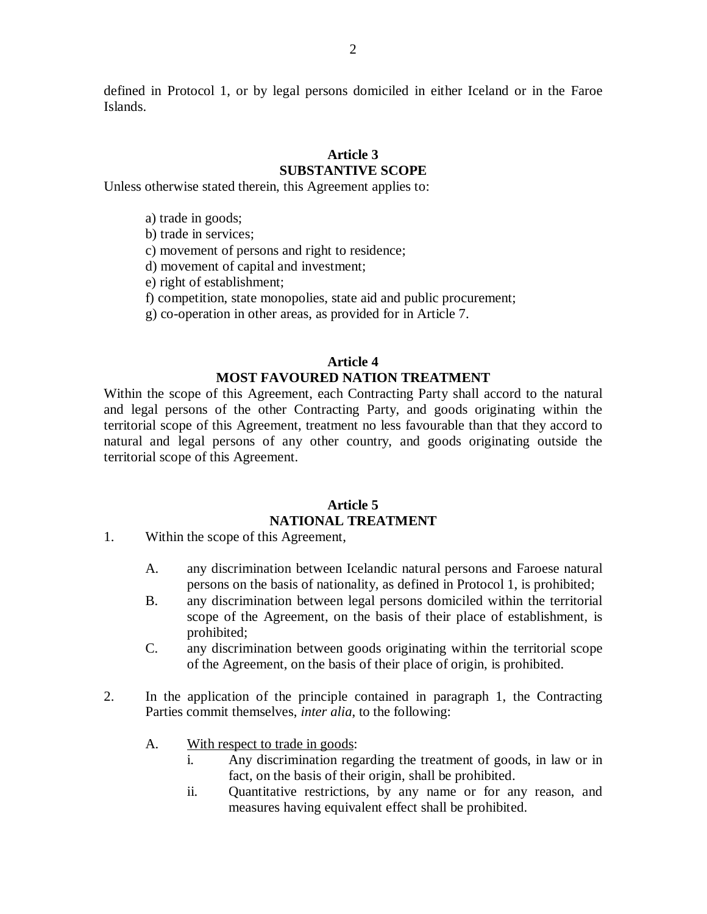defined in Protocol 1, or by legal persons domiciled in either Iceland or in the Faroe Islands.

# **Article 3**

## **SUBSTANTIVE SCOPE**

Unless otherwise stated therein, this Agreement applies to:

- a) trade in goods;
- b) trade in services;
- c) movement of persons and right to residence;
- d) movement of capital and investment;
- e) right of establishment;
- f) competition, state monopolies, state aid and public procurement;
- g) co-operation in other areas, as provided for in Article 7.

#### **Article 4 MOST FAVOURED NATION TREATMENT**

Within the scope of this Agreement, each Contracting Party shall accord to the natural and legal persons of the other Contracting Party, and goods originating within the territorial scope of this Agreement, treatment no less favourable than that they accord to natural and legal persons of any other country, and goods originating outside the territorial scope of this Agreement.

#### **Article 5 NATIONAL TREATMENT**

- 1. Within the scope of this Agreement,
	- A. any discrimination between Icelandic natural persons and Faroese natural persons on the basis of nationality, as defined in Protocol 1, is prohibited;
	- B. any discrimination between legal persons domiciled within the territorial scope of the Agreement, on the basis of their place of establishment, is prohibited;
	- C. any discrimination between goods originating within the territorial scope of the Agreement, on the basis of their place of origin, is prohibited.
- 2. In the application of the principle contained in paragraph 1, the Contracting Parties commit themselves, *inter alia*, to the following:
	- A. With respect to trade in goods:
		- i. Any discrimination regarding the treatment of goods, in law or in fact, on the basis of their origin, shall be prohibited.
		- ii. Quantitative restrictions, by any name or for any reason, and measures having equivalent effect shall be prohibited.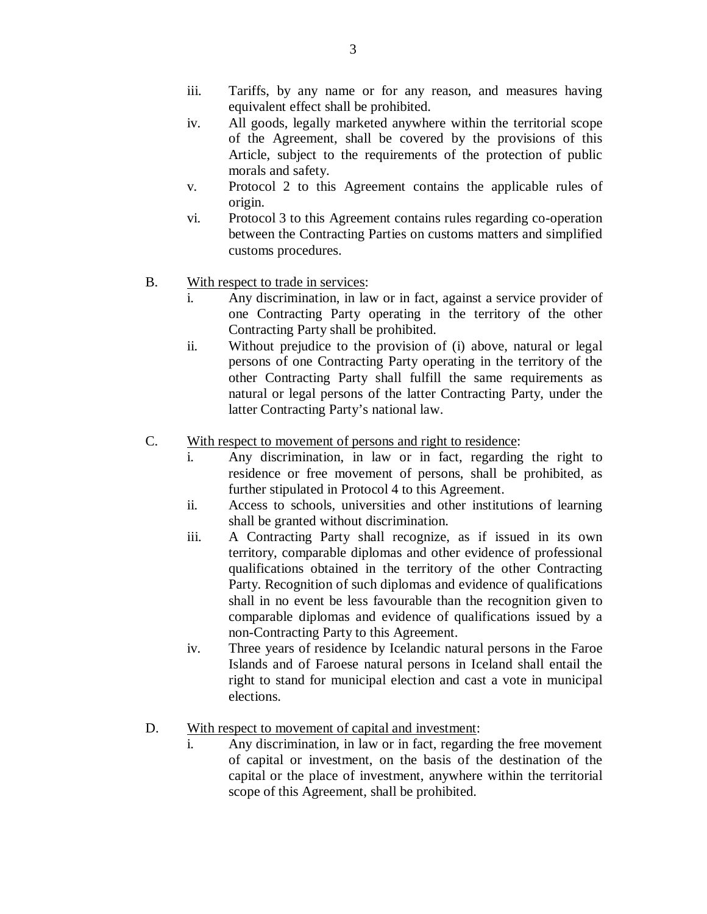- iii. Tariffs, by any name or for any reason, and measures having equivalent effect shall be prohibited.
- iv. All goods, legally marketed anywhere within the territorial scope of the Agreement, shall be covered by the provisions of this Article, subject to the requirements of the protection of public morals and safety.
- v. Protocol 2 to this Agreement contains the applicable rules of origin.
- vi. Protocol 3 to this Agreement contains rules regarding co-operation between the Contracting Parties on customs matters and simplified customs procedures.
- B. With respect to trade in services:
	- i. Any discrimination, in law or in fact, against a service provider of one Contracting Party operating in the territory of the other Contracting Party shall be prohibited.
	- ii. Without prejudice to the provision of (i) above, natural or legal persons of one Contracting Party operating in the territory of the other Contracting Party shall fulfill the same requirements as natural or legal persons of the latter Contracting Party, under the latter Contracting Party's national law.
- C. With respect to movement of persons and right to residence:
	- Any discrimination, in law or in fact, regarding the right to residence or free movement of persons, shall be prohibited, as further stipulated in Protocol 4 to this Agreement.
	- ii. Access to schools, universities and other institutions of learning shall be granted without discrimination.
	- iii. A Contracting Party shall recognize, as if issued in its own territory, comparable diplomas and other evidence of professional qualifications obtained in the territory of the other Contracting Party. Recognition of such diplomas and evidence of qualifications shall in no event be less favourable than the recognition given to comparable diplomas and evidence of qualifications issued by a non-Contracting Party to this Agreement.
	- iv. Three years of residence by Icelandic natural persons in the Faroe Islands and of Faroese natural persons in Iceland shall entail the right to stand for municipal election and cast a vote in municipal elections.
- D. With respect to movement of capital and investment:
	- Any discrimination, in law or in fact, regarding the free movement of capital or investment, on the basis of the destination of the capital or the place of investment, anywhere within the territorial scope of this Agreement, shall be prohibited.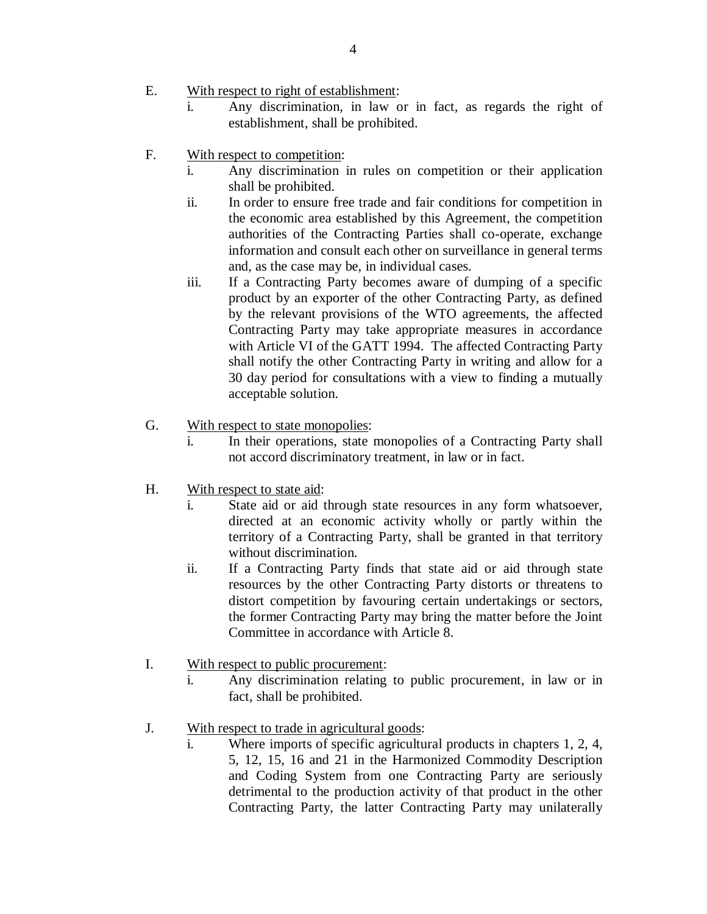- E. With respect to right of establishment:
	- i. Any discrimination, in law or in fact, as regards the right of establishment, shall be prohibited.
- F. With respect to competition:
	- i. Any discrimination in rules on competition or their application shall be prohibited.
	- ii. In order to ensure free trade and fair conditions for competition in the economic area established by this Agreement, the competition authorities of the Contracting Parties shall co-operate, exchange information and consult each other on surveillance in general terms and, as the case may be, in individual cases.
	- iii. If a Contracting Party becomes aware of dumping of a specific product by an exporter of the other Contracting Party, as defined by the relevant provisions of the WTO agreements, the affected Contracting Party may take appropriate measures in accordance with Article VI of the GATT 1994. The affected Contracting Party shall notify the other Contracting Party in writing and allow for a 30 day period for consultations with a view to finding a mutually acceptable solution.
- G. With respect to state monopolies:
	- i. In their operations, state monopolies of a Contracting Party shall not accord discriminatory treatment, in law or in fact.
- H. With respect to state aid:
	- i. State aid or aid through state resources in any form whatsoever, directed at an economic activity wholly or partly within the territory of a Contracting Party, shall be granted in that territory without discrimination.
	- ii. If a Contracting Party finds that state aid or aid through state resources by the other Contracting Party distorts or threatens to distort competition by favouring certain undertakings or sectors, the former Contracting Party may bring the matter before the Joint Committee in accordance with Article 8.
- I. With respect to public procurement:
	- i. Any discrimination relating to public procurement, in law or in fact, shall be prohibited.
- J. With respect to trade in agricultural goods:
	- Where imports of specific agricultural products in chapters 1, 2, 4, 5, 12, 15, 16 and 21 in the Harmonized Commodity Description and Coding System from one Contracting Party are seriously detrimental to the production activity of that product in the other Contracting Party, the latter Contracting Party may unilaterally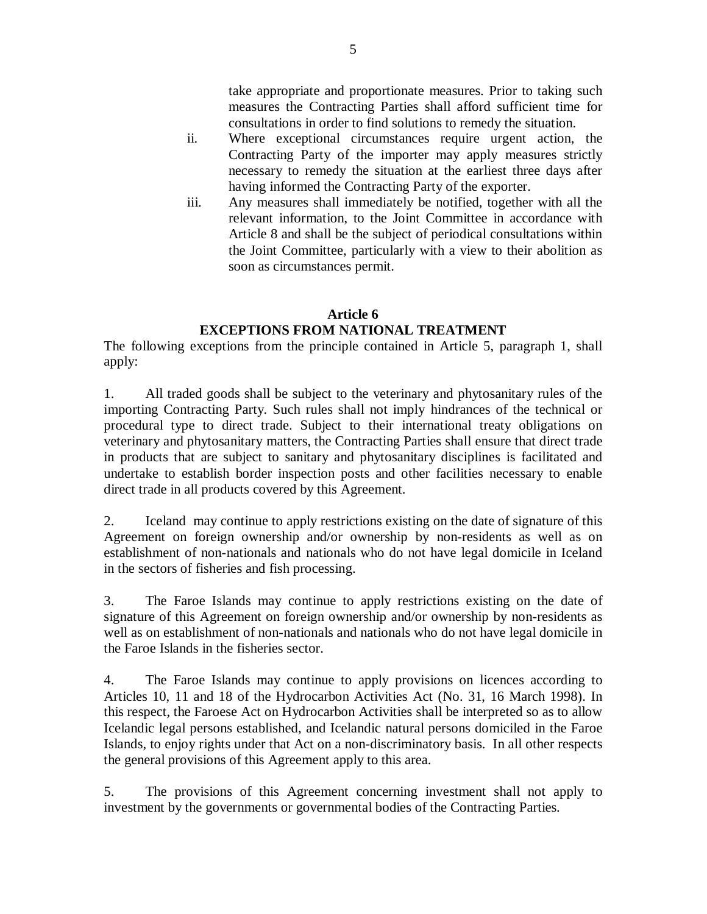take appropriate and proportionate measures. Prior to taking such measures the Contracting Parties shall afford sufficient time for consultations in order to find solutions to remedy the situation.

- ii. Where exceptional circumstances require urgent action, the Contracting Party of the importer may apply measures strictly necessary to remedy the situation at the earliest three days after having informed the Contracting Party of the exporter.
- iii. Any measures shall immediately be notified, together with all the relevant information, to the Joint Committee in accordance with Article 8 and shall be the subject of periodical consultations within the Joint Committee, particularly with a view to their abolition as soon as circumstances permit.

### **Article 6**

## **EXCEPTIONS FROM NATIONAL TREATMENT**

The following exceptions from the principle contained in Article 5, paragraph 1, shall apply:

1. All traded goods shall be subject to the veterinary and phytosanitary rules of the importing Contracting Party. Such rules shall not imply hindrances of the technical or procedural type to direct trade. Subject to their international treaty obligations on veterinary and phytosanitary matters, the Contracting Parties shall ensure that direct trade in products that are subject to sanitary and phytosanitary disciplines is facilitated and undertake to establish border inspection posts and other facilities necessary to enable direct trade in all products covered by this Agreement.

2. Iceland may continue to apply restrictions existing on the date of signature of this Agreement on foreign ownership and/or ownership by non-residents as well as on establishment of non-nationals and nationals who do not have legal domicile in Iceland in the sectors of fisheries and fish processing.

3. The Faroe Islands may continue to apply restrictions existing on the date of signature of this Agreement on foreign ownership and/or ownership by non-residents as well as on establishment of non-nationals and nationals who do not have legal domicile in the Faroe Islands in the fisheries sector.

4. The Faroe Islands may continue to apply provisions on licences according to Articles 10, 11 and 18 of the Hydrocarbon Activities Act (No. 31, 16 March 1998). In this respect, the Faroese Act on Hydrocarbon Activities shall be interpreted so as to allow Icelandic legal persons established, and Icelandic natural persons domiciled in the Faroe Islands, to enjoy rights under that Act on a non-discriminatory basis. In all other respects the general provisions of this Agreement apply to this area.

5. The provisions of this Agreement concerning investment shall not apply to investment by the governments or governmental bodies of the Contracting Parties.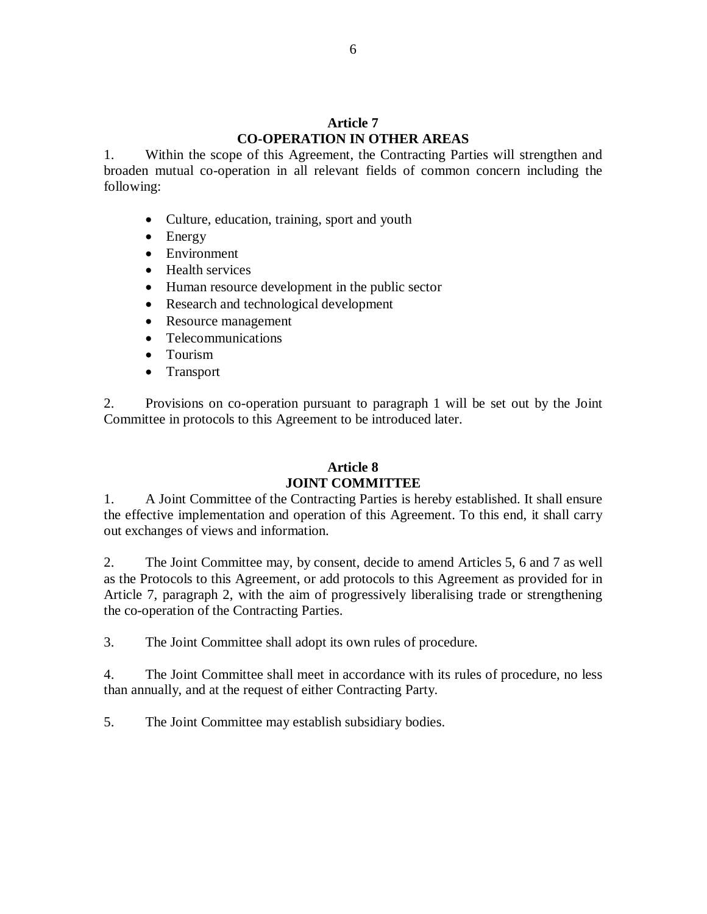#### **Article 7 CO-OPERATION IN OTHER AREAS**

1. Within the scope of this Agreement, the Contracting Parties will strengthen and broaden mutual co-operation in all relevant fields of common concern including the following:

- Culture, education, training, sport and youth
- Energy
- Environment
- Health services
- Human resource development in the public sector
- Research and technological development
- Resource management
- Telecommunications
- Tourism
- Transport

2. Provisions on co-operation pursuant to paragraph 1 will be set out by the Joint Committee in protocols to this Agreement to be introduced later.

## **Article 8 JOINT COMMITTEE**

1. A Joint Committee of the Contracting Parties is hereby established. It shall ensure the effective implementation and operation of this Agreement. To this end, it shall carry out exchanges of views and information.

2. The Joint Committee may, by consent, decide to amend Articles 5, 6 and 7 as well as the Protocols to this Agreement, or add protocols to this Agreement as provided for in Article 7, paragraph 2, with the aim of progressively liberalising trade or strengthening the co-operation of the Contracting Parties.

3. The Joint Committee shall adopt its own rules of procedure.

4. The Joint Committee shall meet in accordance with its rules of procedure, no less than annually, and at the request of either Contracting Party.

5. The Joint Committee may establish subsidiary bodies.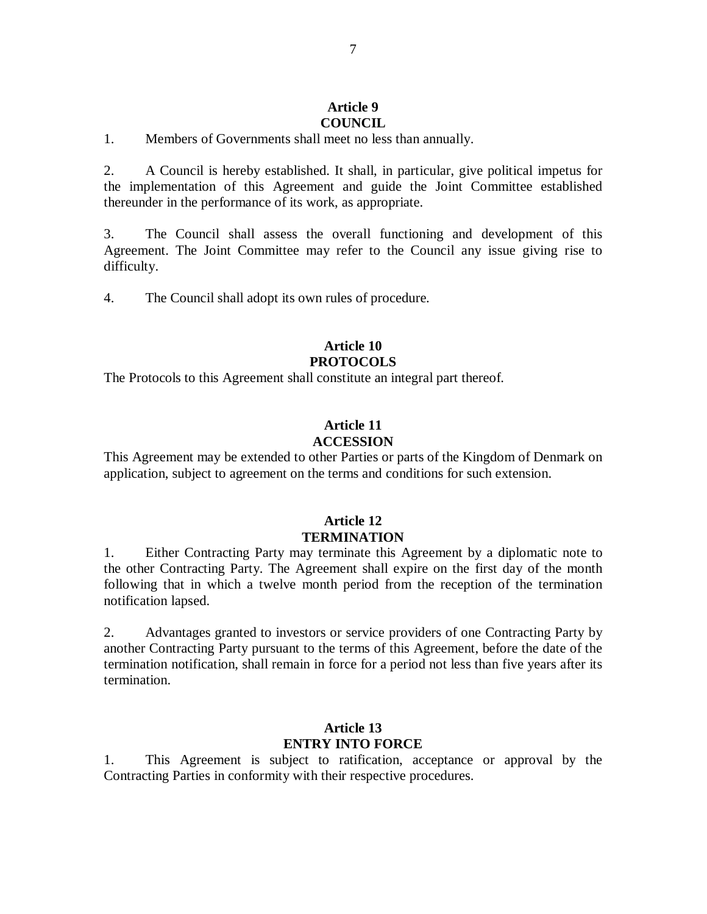#### **Article 9**

#### **COUNCIL**

1. Members of Governments shall meet no less than annually.

2. A Council is hereby established. It shall, in particular, give political impetus for the implementation of this Agreement and guide the Joint Committee established thereunder in the performance of its work, as appropriate.

3. The Council shall assess the overall functioning and development of this Agreement. The Joint Committee may refer to the Council any issue giving rise to difficulty.

4. The Council shall adopt its own rules of procedure.

#### **Article 10 PROTOCOLS**

The Protocols to this Agreement shall constitute an integral part thereof.

#### **Article 11 ACCESSION**

This Agreement may be extended to other Parties or parts of the Kingdom of Denmark on application, subject to agreement on the terms and conditions for such extension.

### **Article 12 TERMINATION**

1. Either Contracting Party may terminate this Agreement by a diplomatic note to the other Contracting Party. The Agreement shall expire on the first day of the month following that in which a twelve month period from the reception of the termination notification lapsed.

2. Advantages granted to investors or service providers of one Contracting Party by another Contracting Party pursuant to the terms of this Agreement, before the date of the termination notification, shall remain in force for a period not less than five years after its termination.

#### **Article 13 ENTRY INTO FORCE**

1. This Agreement is subject to ratification, acceptance or approval by the Contracting Parties in conformity with their respective procedures.